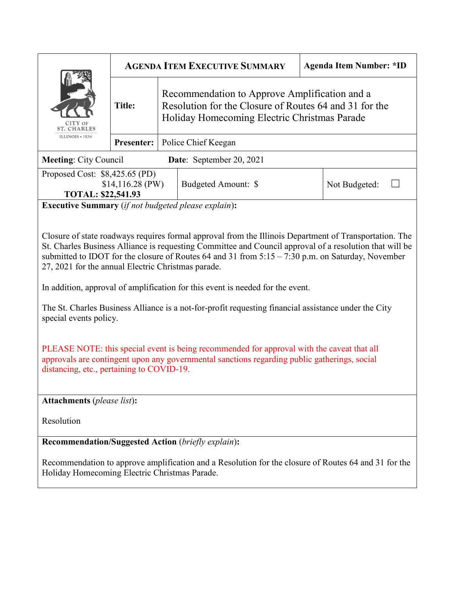| CITY OF<br><b>ST. CHARLES</b><br>ILLINOIS $* 1834$        | <b>AGENDA ITEM EXECUTIVE SUMMARY</b> |  |                                                                                                                                                         | <b>Agenda Item Number: *ID</b> |  |
|-----------------------------------------------------------|--------------------------------------|--|---------------------------------------------------------------------------------------------------------------------------------------------------------|--------------------------------|--|
|                                                           | <b>Title:</b>                        |  | Recommendation to Approve Amplification and a<br>Resolution for the Closure of Routes 64 and 31 for the<br>Holiday Homecoming Electric Christmas Parade |                                |  |
|                                                           | <b>Presenter:</b>                    |  | Police Chief Keegan                                                                                                                                     |                                |  |
| <b>Meeting: City Council</b>                              |                                      |  | Date: September 20, 2021                                                                                                                                |                                |  |
| Proposed Cost: \$8,425.65 (PD)                            |                                      |  |                                                                                                                                                         |                                |  |
| $$14,116.28$ (PW)                                         |                                      |  | Budgeted Amount: \$                                                                                                                                     | Not Budgeted:                  |  |
| <b>TOTAL: \$22,541.93</b>                                 |                                      |  |                                                                                                                                                         |                                |  |
| <b>Executive Summary</b> (if not hudgeted please evalue). |                                      |  |                                                                                                                                                         |                                |  |

**Executive Summary** (*if not budgeted please explain*)**:**

Closure of state roadways requires formal approval from the Illinois Department of Transportation. The St. Charles Business Alliance is requesting Committee and Council approval of a resolution that will be submitted to IDOT for the closure of Routes 64 and 31 from 5:15 – 7:30 p.m. on Saturday, November 27, 2021 for the annual Electric Christmas parade.

In addition, approval of amplification for this event is needed for the event.

The St. Charles Business Alliance is a not-for-profit requesting financial assistance under the City special events policy.

PLEASE NOTE: this special event is being recommended for approval with the caveat that all approvals are contingent upon any governmental sanctions regarding public gatherings, social distancing, etc., pertaining to COVID-19.

**Attachments** (*please list*)**:** 

Resolution

**Recommendation/Suggested Action** (*briefly explain*)**:**

Recommendation to approve amplification and a Resolution for the closure of Routes 64 and 31 for the Holiday Homecoming Electric Christmas Parade.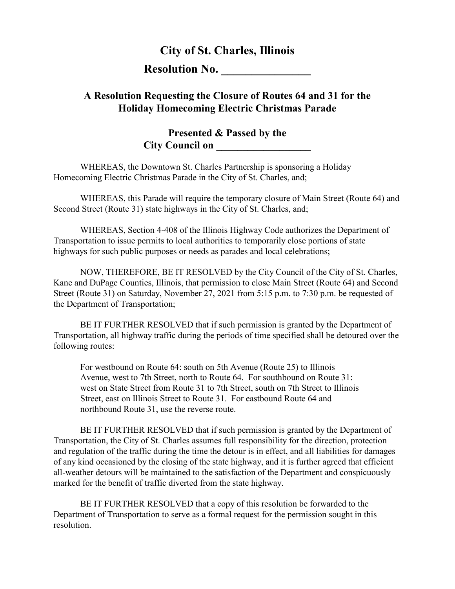## **City of St. Charles, Illinois**

**Resolution No.** 

## **A Resolution Requesting the Closure of Routes 64 and 31 for the Holiday Homecoming Electric Christmas Parade**

## **Presented & Passed by the City Council on**

WHEREAS, the Downtown St. Charles Partnership is sponsoring a Holiday Homecoming Electric Christmas Parade in the City of St. Charles, and;

WHEREAS, this Parade will require the temporary closure of Main Street (Route 64) and Second Street (Route 31) state highways in the City of St. Charles, and;

WHEREAS, Section 4-408 of the Illinois Highway Code authorizes the Department of Transportation to issue permits to local authorities to temporarily close portions of state highways for such public purposes or needs as parades and local celebrations;

NOW, THEREFORE, BE IT RESOLVED by the City Council of the City of St. Charles, Kane and DuPage Counties, Illinois, that permission to close Main Street (Route 64) and Second Street (Route 31) on Saturday, November 27, 2021 from 5:15 p.m. to 7:30 p.m. be requested of the Department of Transportation;

BE IT FURTHER RESOLVED that if such permission is granted by the Department of Transportation, all highway traffic during the periods of time specified shall be detoured over the following routes:

For westbound on Route 64: south on 5th Avenue (Route 25) to Illinois Avenue, west to 7th Street, north to Route 64. For southbound on Route 31: west on State Street from Route 31 to 7th Street, south on 7th Street to Illinois Street, east on Illinois Street to Route 31. For eastbound Route 64 and northbound Route 31, use the reverse route.

BE IT FURTHER RESOLVED that if such permission is granted by the Department of Transportation, the City of St. Charles assumes full responsibility for the direction, protection and regulation of the traffic during the time the detour is in effect, and all liabilities for damages of any kind occasioned by the closing of the state highway, and it is further agreed that efficient all-weather detours will be maintained to the satisfaction of the Department and conspicuously marked for the benefit of traffic diverted from the state highway.

BE IT FURTHER RESOLVED that a copy of this resolution be forwarded to the Department of Transportation to serve as a formal request for the permission sought in this resolution.